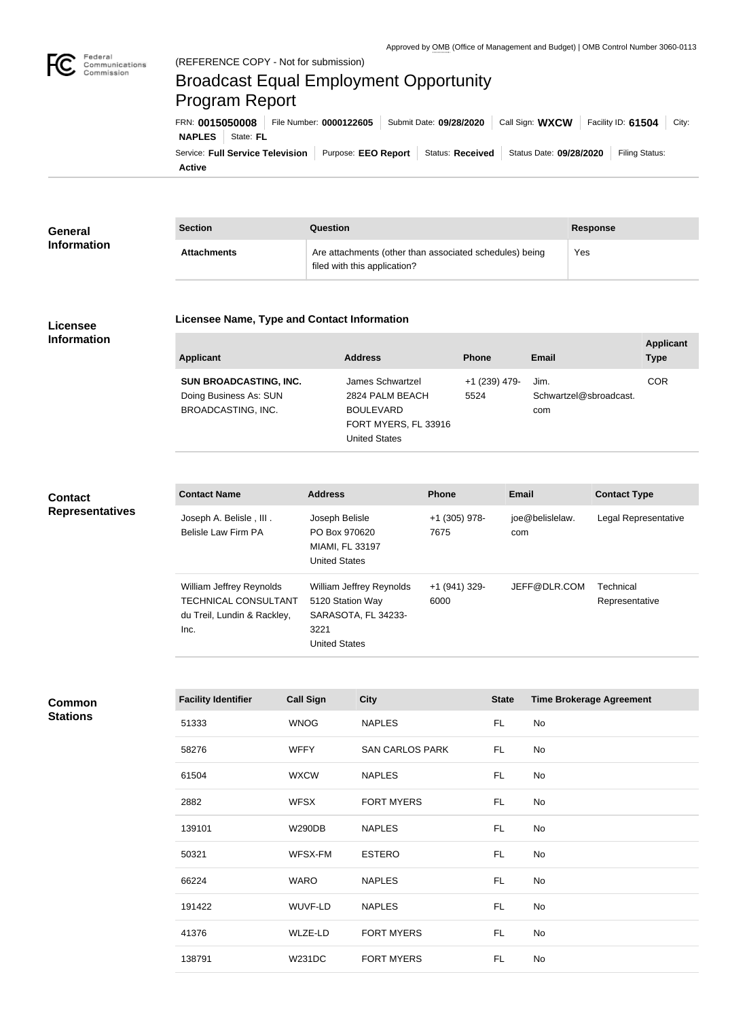

# Broadcast Equal Employment Opportunity Program Report

**Active** Service: Full Service Television | Purpose: EEO Report | Status: Received | Status Date: 09/28/2020 | Filing Status: **NAPLES** State: FL FRN: **0015050008** File Number: **0000122605** Submit Date: **09/28/2020** Call Sign: **WXCW** Facility ID: **61504** City:

| <b>General</b>     | <b>Section</b>     | Question                                                                                | <b>Response</b> |
|--------------------|--------------------|-----------------------------------------------------------------------------------------|-----------------|
| <b>Information</b> | <b>Attachments</b> | Are attachments (other than associated schedules) being<br>filed with this application? | Yes             |

#### **Licensee Information**

#### **Licensee Name, Type and Contact Information**

| Applicant                 | <b>Address</b>       | <b>Phone</b>  | Email                  | <b>Applicant</b><br><b>Type</b> |
|---------------------------|----------------------|---------------|------------------------|---------------------------------|
| SUN BROADCASTING, INC.    | James Schwartzel     | +1 (239) 479- | Jim.                   | <b>COR</b>                      |
| Doing Business As: SUN    | 2824 PALM BEACH      | 5524          | Schwartzel@sbroadcast. |                                 |
| <b>BROADCASTING, INC.</b> | <b>BOULEVARD</b>     |               | com                    |                                 |
|                           | FORT MYERS, FL 33916 |               |                        |                                 |
|                           | <b>United States</b> |               |                        |                                 |

## **Contact Representatives**

| <b>Contact Name</b>                                                                            | <b>Address</b>                                                                                      | <b>Phone</b>            | Email                  | <b>Contact Type</b>         |
|------------------------------------------------------------------------------------------------|-----------------------------------------------------------------------------------------------------|-------------------------|------------------------|-----------------------------|
| Joseph A. Belisle, III.<br>Belisle Law Firm PA                                                 | Joseph Belisle<br>PO Box 970620<br>MIAMI, FL 33197<br><b>United States</b>                          | +1 (305) 978-<br>7675   | joe@belislelaw.<br>com | Legal Representative        |
| William Jeffrey Reynolds<br><b>TECHNICAL CONSULTANT</b><br>du Treil, Lundin & Rackley,<br>Inc. | William Jeffrey Reynolds<br>5120 Station Way<br>SARASOTA, FL 34233-<br>3221<br><b>United States</b> | $+1$ (941) 329-<br>6000 | JEFF@DLR.COM           | Technical<br>Representative |

**Common Stations**

| <b>Facility Identifier</b> | <b>Call Sign</b> | <b>City</b>            | <b>State</b> | <b>Time Brokerage Agreement</b> |
|----------------------------|------------------|------------------------|--------------|---------------------------------|
| 51333                      | <b>WNOG</b>      | <b>NAPLES</b>          | FL.          | No                              |
| 58276                      | <b>WFFY</b>      | <b>SAN CARLOS PARK</b> | FL.          | No                              |
| 61504                      | <b>WXCW</b>      | <b>NAPLES</b>          | FL.          | No                              |
| 2882                       | <b>WFSX</b>      | <b>FORT MYERS</b>      | FL.          | No                              |
| 139101                     | <b>W290DB</b>    | <b>NAPLES</b>          | FL.          | No                              |
| 50321                      | WFSX-FM          | <b>ESTERO</b>          | FL.          | No                              |
| 66224                      | <b>WARO</b>      | <b>NAPLES</b>          | FL.          | No                              |
| 191422                     | WUVF-LD          | <b>NAPLES</b>          | FL.          | No                              |
| 41376                      | WLZE-LD          | <b>FORT MYERS</b>      | FL.          | No                              |
| 138791                     | <b>W231DC</b>    | <b>FORT MYERS</b>      | FL.          | No                              |